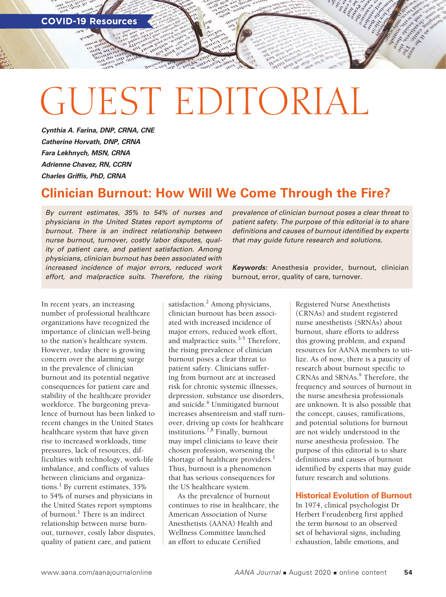# GUEST EDITORIAL

*Cynthia A. Farina, DNP, CRNA, CNE Catherine Horvath, DNP, CRNA Fara Lekhnych, MSN, CRNA Adrienne Chavez, RN, CCRN Charles Griffis, PhD, CRNA*

# **Clinician Burnout: How Will We Come Through the Fire?**

*By current estimates, 35% to 54% of nurses and physicians in the United States report symptoms of burnout. There is an indirect relationship between nurse burnout, turnover, costly labor disputes, quality of patient care, and patient satisfaction. Among physicians, clinician burnout has been associated with increased incidence of major errors, reduced work effort, and malpractice suits. Therefore, the rising* 

In recent years, an increasing number of professional healthcare organizations have recognized the importance of clinician well-being to the nation's healthcare system. However, today there is growing concern over the alarming surge in the prevalence of clinician burnout and its potential negative consequences for patient care and stability of the healthcare provider workforce. The burgeoning prevalence of burnout has been linked to recent changes in the United States healthcare system that have given rise to increased workloads, time pressures, lack of resources, difficulties with technology, work-life imbalance, and conflicts of values between clinicians and organizations.<sup>1</sup> By current estimates, 35% to 54% of nurses and physicians in the United States report symptoms of burnout.<sup>1</sup> There is an indirect relationship between nurse burnout, turnover, costly labor disputes, quality of patient care, and patient

satisfaction.<sup>2</sup> Among physicians, clinician burnout has been associated with increased incidence of major errors, reduced work effort, and malpractice suits.<sup>3-5</sup> Therefore, the rising prevalence of clinician burnout poses a clear threat to patient safety. Clinicians suffering from burnout are at increased risk for chronic systemic illnesses, depression, substance use disorders, and suicide.<sup>6</sup> Unmitigated burnout increases absenteeism and staff turnover, driving up costs for healthcare institutions.7,8 Finally, burnout may impel clinicians to leave their chosen profession, worsening the shortage of healthcare providers.<sup>1</sup> Thus, burnout is a phenomenon that has serious consequences for the US healthcare system.

As the prevalence of burnout continues to rise in healthcare, the American Association of Nurse Anesthetists (AANA) Health and Wellness Committee launched an effort to educate Certified

*prevalence of clinician burnout poses a clear threat to patient safety. The purpose of this editorial is to share definitions and causes of burnout identified by experts that may guide future research and solutions.* 

*Keywords:* Anesthesia provider, burnout, clinician burnout, error, quality of care, turnover.

> Registered Nurse Anesthetists (CRNAs) and student registered nurse anesthetists (SRNAs) about burnout, share efforts to address this growing problem, and expand resources for AANA members to utilize. As of now, there is a paucity of research about burnout specific to CRNAs and SRNAs.<sup>9</sup> Therefore, the frequency and sources of burnout in the nurse anesthesia professionals are unknown. It is also possible that the concept, causes, ramifications, and potential solutions for burnout are not widely understood in the nurse anesthesia profession. The purpose of this editorial is to share definitions and causes of burnout identified by experts that may guide future research and solutions.

#### **Historical Evolution of Burnout**

In 1974, clinical psychologist Dr Herbert Freudenberg first applied the term *burnout* to an observed set of behavioral signs, including exhaustion, labile emotions, and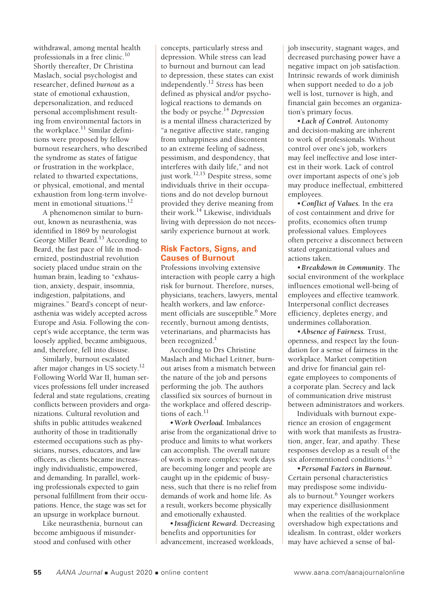withdrawal, among mental health professionals in a free clinic.<sup>10</sup> Shortly thereafter, Dr Christina Maslach, social psychologist and researcher, defined *burnout* as a state of emotional exhaustion, depersonalization, and reduced personal accomplishment resulting from environmental factors in the workplace.<sup>11</sup> Similar definitions were proposed by fellow burnout researchers, who described the syndrome as states of fatigue or frustration in the workplace, related to thwarted expectations, or physical, emotional, and mental exhaustion from long-term involvement in emotional situations.<sup>12</sup>

A phenomenon similar to burnout, known as neurasthenia, was identified in 1869 by neurologist George Miller Beard.<sup>13</sup> According to Beard, the fast pace of life in modernized, postindustrial revolution society placed undue strain on the human brain, leading to "exhaustion, anxiety, despair, insomnia, indigestion, palpitations, and migraines." Beard's concept of neurasthenia was widely accepted across Europe and Asia. Following the concept's wide acceptance, the term was loosely applied, became ambiguous, and, therefore, fell into disuse.

Similarly, burnout escalated after major changes in US society.<sup>12</sup> Following World War II, human services professions fell under increased federal and state regulations, creating conflicts between providers and organizations. Cultural revolution and shifts in public attitudes weakened authority of those in traditionally esteemed occupations such as physicians, nurses, educators, and law officers, as clients became increasingly individualistic, empowered, and demanding. In parallel, working professionals expected to gain personal fulfillment from their occupations. Hence, the stage was set for an upsurge in workplace burnout.

Like neurasthenia, burnout can become ambiguous if misunderstood and confused with other

concepts, particularly stress and depression. While stress can lead to burnout and burnout can lead to depression, these states can exist independently.12 *Stress* has been defined as physical and/or psychological reactions to demands on the body or psyche.14 *Depression* is a mental illness characterized by "a negative affective state, ranging from unhappiness and discontent to an extreme feeling of sadness, pessimism, and despondency, that interferes with daily life," and not just work. $^{12,15}$  Despite stress, some individuals thrive in their occupations and do not develop burnout provided they derive meaning from their work. $^{14}$  Likewise, individuals living with depression do not necessarily experience burnout at work.

# **Risk Factors, Signs, and Causes of Burnout**

Professions involving extensive interaction with people carry a high risk for burnout. Therefore, nurses, physicians, teachers, lawyers, mental health workers, and law enforcement officials are susceptible.<sup>6</sup> More recently, burnout among dentists, veterinarians, and pharmacists has been recognized. $<sup>1</sup>$ </sup>

According to Drs Christine Maslach and Michael Leitner, burnout arises from a mismatch between the nature of the job and persons performing the job. The authors classified six sources of burnout in the workplace and offered descriptions of each.<sup>11</sup>

•*Work Overload.* Imbalances arise from the organizational drive to produce and limits to what workers can accomplish. The overall nature of work is more complex: work days are becoming longer and people are caught up in the epidemic of busyness, such that there is no relief from demands of work and home life. As a result, workers become physically and emotionally exhausted.

•*Insufficient Reward.* Decreasing benefits and opportunities for advancement, increased workloads,

job insecurity, stagnant wages, and decreased purchasing power have a negative impact on job satisfaction. Intrinsic rewards of work diminish when support needed to do a job well is lost, turnover is high, and financial gain becomes an organization's primary focus.

•*Lack of Control.* Autonomy and decision-making are inherent to work of professionals. Without control over one's job, workers may feel ineffective and lose interest in their work. Lack of control over important aspects of one's job may produce ineffectual, embittered employees.

•*Conflict of Values.* In the era of cost containment and drive for profits, economics often trump professional values. Employees often perceive a disconnect between stated organizational values and actions taken.

•*Breakdown in Community.* The social environment of the workplace influences emotional well-being of employees and effective teamwork. Interpersonal conflict decreases efficiency, depletes energy, and undermines collaboration.

•*Absence of Fairness.* Trust, openness, and respect lay the foundation for a sense of fairness in the workplace. Market competition and drive for financial gain relegate employees to components of a corporate plan. Secrecy and lack of communication drive mistrust between administrators and workers.

Individuals with burnout experience an erosion of engagement with work that manifests as frustration, anger, fear, and apathy. These responses develop as a result of the six aforementioned conditions.<sup>13</sup>

•*Personal Factors in Burnout.* Certain personal characteristics may predispose some individuals to burnout.<sup>6</sup> Younger workers may experience disillusionment when the realities of the workplace overshadow high expectations and idealism. In contrast, older workers may have achieved a sense of bal-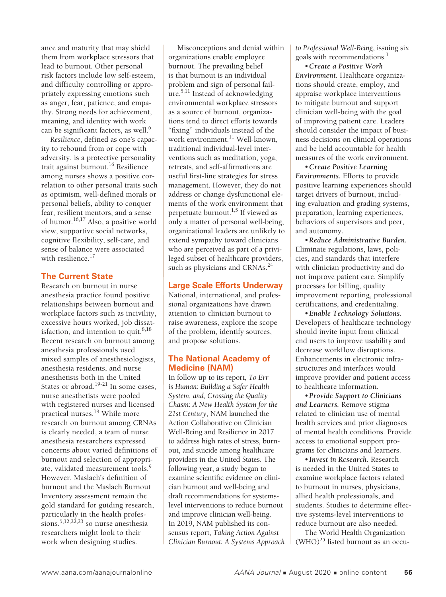ance and maturity that may shield them from workplace stressors that lead to burnout. Other personal risk factors include low self-esteem, and difficulty controlling or appropriately expressing emotions such as anger, fear, patience, and empathy. Strong needs for achievement, meaning, and identity with work can be significant factors, as well.<sup>6</sup>

*Resilience*, defined as one's capacity to rebound from or cope with adversity, is a protective personality trait against burnout.16 Resilience among nurses shows a positive correlation to other personal traits such as optimism, well-defined morals or personal beliefs, ability to conquer fear, resilient mentors, and a sense of humor.<sup>16,17</sup> Also, a positive world view, supportive social networks, cognitive flexibility, self-care, and sense of balance were associated with resilience.<sup>17</sup>

# **The Current State**

Research on burnout in nurse anesthesia practice found positive relationships between burnout and workplace factors such as incivility, excessive hours worked, job dissatisfaction, and intention to quit. $8,18$ Recent research on burnout among anesthesia professionals used mixed samples of anesthesiologists, anesthesia residents, and nurse anesthetists both in the United States or abroad. $19-21$  In some cases, nurse anesthetists were pooled with registered nurses and licensed practical nurses.<sup>19</sup> While more research on burnout among CRNAs is clearly needed, a team of nurse anesthesia researchers expressed concerns about varied definitions of burnout and selection of appropriate, validated measurement tools.<sup>9</sup> However, Maslach's definition of burnout and the Maslach Burnout Inventory assessment remain the gold standard for guiding research, particularly in the health professions.<sup>5,12,22,23</sup> so nurse anesthesia researchers might look to their work when designing studies.

Misconceptions and denial within organizations enable employee burnout. The prevailing belief is that burnout is an individual problem and sign of personal failure.<sup>5,11</sup> Instead of acknowledging environmental workplace stressors as a source of burnout, organizations tend to direct efforts towards "fixing" individuals instead of the work environment.<sup>11</sup> Well-known, traditional individual-level interventions such as meditation, yoga, retreats, and self-affirmations are useful first-line strategies for stress management. However, they do not address or change dysfunctional elements of the work environment that perpetuate burnout.<sup>1,5</sup> If viewed as only a matter of personal well-being, organizational leaders are unlikely to extend sympathy toward clinicians who are perceived as part of a privileged subset of healthcare providers, such as physicians and CRNAs.<sup>24</sup>

# **Large Scale Efforts Underway**

National, international, and professional organizations have drawn attention to clinician burnout to raise awareness, explore the scope of the problem, identify sources, and propose solutions.

## **The National Academy of Medicine (NAM)**

In follow up to its report, *To Err is Human: Building a Safer Health System, and, Crossing the Quality Chasm: A New Health System for the 21st Century*, NAM launched the Action Collaborative on Clinician Well-Being and Resilience in 2017 to address high rates of stress, burnout, and suicide among healthcare providers in the United States. The following year, a study began to examine scientific evidence on clinician burnout and well-being and draft recommendations for systemslevel interventions to reduce burnout and improve clinician well-being. In 2019, NAM published its consensus report, *Taking Action Against Clinician Burnout: A Systems Approach*  *to Professional Well-Being*, issuing six goals with recommendations.<sup>1</sup>

•*Create a Positive Work Environment.* Healthcare organizations should create, employ, and appraise workplace interventions to mitigate burnout and support clinician well-being with the goal of improving patient care. Leaders should consider the impact of business decisions on clinical operations and be held accountable for health measures of the work environment.

•*Create Positive Learning Environments.* Efforts to provide positive learning experiences should target drivers of burnout, including evaluation and grading systems, preparation, learning experiences, behaviors of supervisors and peer, and autonomy.

•*Reduce Administrative Burden.* Eliminate regulations, laws, policies, and standards that interfere with clinician productivity and do not improve patient care. Simplify processes for billing, quality improvement reporting, professional certifications, and credentialing.

•*Enable Technology Solutions.* Developers of healthcare technology should invite input from clinical end users to improve usability and decrease workflow disruptions. Enhancements in electronic infrastructures and interfaces would improve provider and patient access to healthcare information.

•*Provide Support to Clinicians and Learners.* Remove stigma related to clinician use of mental health services and prior diagnoses of mental health conditions. Provide access to emotional support programs for clinicians and learners.

•*Invest in Research.* Research is needed in the United States to examine workplace factors related to burnout in nurses, physicians, allied health professionals, and students. Studies to determine effective systems-level interventions to reduce burnout are also needed.

The World Health Organization  $(WHO)^{25}$  listed burnout as an occu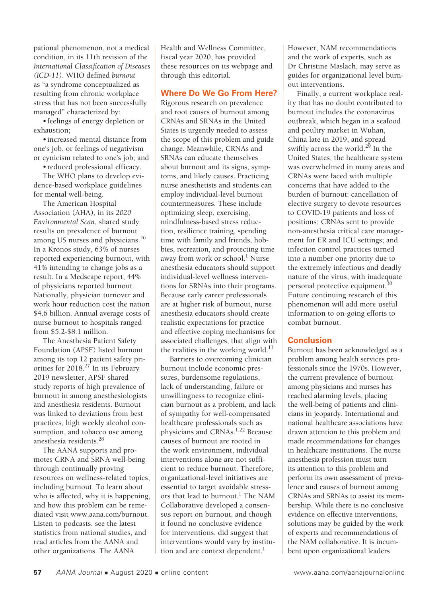pational phenomenon, not a medical condition, in its 11th revision of the *International Classification of Diseases (ICD-11)*. WHO defined *burnout* as "a syndrome conceptualized as resulting from chronic workplace stress that has not been successfully managed" characterized by:

•feelings of energy depletion or exhaustion;

•increased mental distance from one's job, or feelings of negativism or cynicism related to one's job; and

•reduced professional efficacy.

The WHO plans to develop evidence-based workplace guidelines for mental well-being.

The American Hospital Association (AHA), in its *2020 Environmental Scan*, shared study results on prevalence of burnout among US nurses and physicians.<sup>26</sup> In a Kronos study, 63% of nurses reported experiencing burnout, with 41% intending to change jobs as a result. In a Medscape report, 44% of physicians reported burnout. Nationally, physician turnover and work hour reduction cost the nation \$4.6 billion. Annual average costs of nurse burnout to hospitals ranged from \$5.2-\$8.1 million.

The Anesthesia Patient Safety Foundation (APSF) listed burnout among its top 12 patient safety priorities for  $2018.<sup>27</sup>$  In its February 2019 newsletter, APSF shared study reports of high prevalence of burnout in among anesthesiologists and anesthesia residents. Burnout was linked to deviations from best practices, high weekly alcohol consumption, and tobacco use among anesthesia residents.<sup>28</sup>

The AANA supports and promotes CRNA and SRNA well-being through continually proving resources on wellness-related topics, including burnout. To learn about who is affected, why it is happening, and how this problem can be remediated visit www.aana.com/burnout. Listen to podcasts, see the latest statistics from national studies, and read articles from the AANA and other organizations. The AANA

Health and Wellness Committee, fiscal year 2020, has provided these resources on its webpage and through this editorial.

#### **Where Do We Go From Here?**

Rigorous research on prevalence and root causes of burnout among CRNAs and SRNAs in the United States is urgently needed to assess the scope of this problem and guide change. Meanwhile, CRNAs and SRNAs can educate themselves about burnout and its signs, symptoms, and likely causes. Practicing nurse anesthetists and students can employ individual-level burnout countermeasures. These include optimizing sleep, exercising, mindfulness-based stress reduction, resilience training, spending time with family and friends, hobbies, recreation, and protecting time away from work or school.<sup>1</sup> Nurse anesthesia educators should support individual-level wellness interventions for SRNAs into their programs. Because early career professionals are at higher risk of burnout, nurse anesthesia educators should create realistic expectations for practice and effective coping mechanisms for associated challenges, that align with the realities in the working world. $^{13}$ 

Barriers to overcoming clinician burnout include economic pressures, burdensome regulations, lack of understanding, failure or unwillingness to recognize clinician burnout as a problem, and lack of sympathy for well-compensated healthcare professionals such as physicians and CRNAs.<sup>1,22</sup> Because causes of burnout are rooted in the work environment, individual interventions alone are not sufficient to reduce burnout. Therefore, organizational-level initiatives are essential to target avoidable stressors that lead to burnout.<sup>1</sup> The NAM Collaborative developed a consensus report on burnout, and though it found no conclusive evidence for interventions, did suggest that interventions would vary by institution and are context dependent.<sup>1</sup>

However, NAM recommendations and the work of experts, such as Dr Christine Maslach, may serve as guides for organizational level burnout interventions.

Finally, a current workplace reality that has no doubt contributed to burnout includes the coronavirus outbreak, which began in a seafood and poultry market in Wuhan, China late in 2019, and spread swiftly across the world.<sup>29</sup> In the United States, the healthcare system was overwhelmed in many areas and CRNAs were faced with multiple concerns that have added to the burden of burnout: cancellation of elective surgery to devote resources to COVID-19 patients and loss of positions; CRNAs sent to provide non-anesthesia critical care management for ER and ICU settings; and infection control practices turned into a number one priority due to the extremely infectious and deadly nature of the virus, with inadequate personal protective equipment.30 Future continuing research of this phenomenon will add more useful information to on-going efforts to combat burnout.

#### **Conclusion**

Burnout has been acknowledged as a problem among health services professionals since the 1970s. However, the current prevalence of burnout among physicians and nurses has reached alarming levels, placing the well-being of patients and clinicians in jeopardy. International and national healthcare associations have drawn attention to this problem and made recommendations for changes in healthcare institutions. The nurse anesthesia profession must turn its attention to this problem and perform its own assessment of prevalence and causes of burnout among CRNAs and SRNAs to assist its membership. While there is no conclusive evidence on effective interventions, solutions may be guided by the work of experts and recommendations of the NAM collaborative. It is incumbent upon organizational leaders